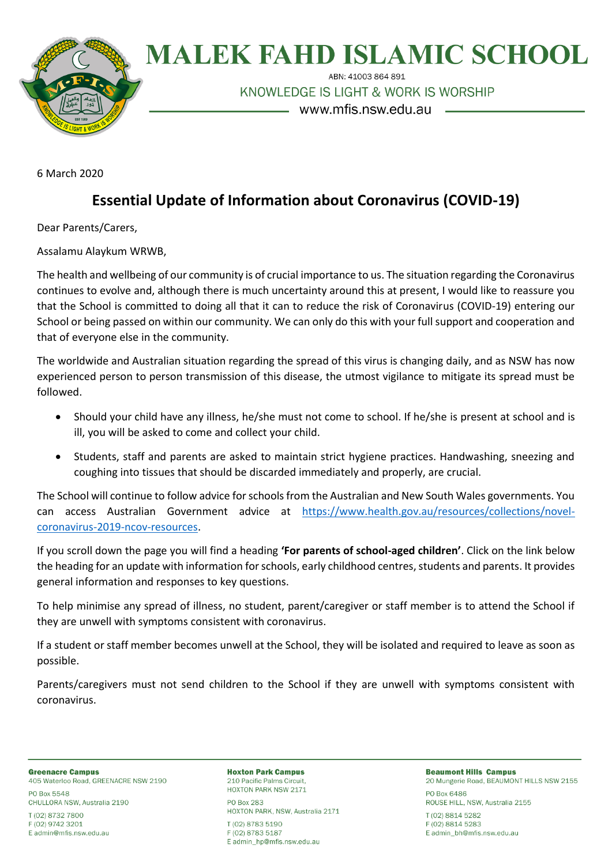

## **MALEK FAHD ISLAMIC SCHOOL**

ABN: 41003 864 891

KNOWLEDGE IS LIGHT & WORK IS WORSHIP

www.mfis.nsw.edu.au

6 March 2020

## **Essential Update of Information about Coronavirus (COVID-19)**

Dear Parents/Carers,

Assalamu Alaykum WRWB,

The health and wellbeing of our community is of crucial importance to us. The situation regarding the Coronavirus continues to evolve and, although there is much uncertainty around this at present, I would like to reassure you that the School is committed to doing all that it can to reduce the risk of Coronavirus (COVID-19) entering our School or being passed on within our community. We can only do this with your full support and cooperation and that of everyone else in the community.

The worldwide and Australian situation regarding the spread of this virus is changing daily, and as NSW has now experienced person to person transmission of this disease, the utmost vigilance to mitigate its spread must be followed.

- Should your child have any illness, he/she must not come to school. If he/she is present at school and is ill, you will be asked to come and collect your child.
- Students, staff and parents are asked to maintain strict hygiene practices. Handwashing, sneezing and coughing into tissues that should be discarded immediately and properly, are crucial.

The School will continue to follow advice for schools from the Australian and New South Wales governments. You can access Australian Government advice at [https://www.health.gov.au/resources/collections/novel](https://www.health.gov.au/resources/collections/novel-coronavirus-2019-ncov-resources)[coronavirus-2019-ncov-resources.](https://www.health.gov.au/resources/collections/novel-coronavirus-2019-ncov-resources)

If you scroll down the page you will find a heading **'For parents of school-aged children'**. Click on the link below the heading for an update with information for schools, early childhood centres, students and parents. It provides general information and responses to key questions.

To help minimise any spread of illness, no student, parent/caregiver or staff member is to attend the School if they are unwell with symptoms consistent with coronavirus.

If a student or staff member becomes unwell at the School, they will be isolated and required to leave as soon as possible.

Parents/caregivers must not send children to the School if they are unwell with symptoms consistent with coronavirus.

**Greenacre Campus** 405 Waterloo Road, GREENACRE NSW 2190 PO Box 5548

CHULLORA NSW, Australia 2190

T (02) 8732 7800 F (02) 9742 3201 E admin@mfis.nsw.edu.au **Hoxton Park Campus** 210 Pacific Palms Circuit, HOXTON PARK NSW 2171

PO Box 283 HOXTON PARK, NSW, Australia 2171 T (02) 8783 5190 F (02) 8783 5187 E admin hp@mfis.nsw.edu.au

**Beaumont Hills Campus** 20 Mungerie Road, BEAUMONT HILLS NSW 2155 PO Box 6486 ROUSE HILL, NSW, Australia 2155 T (02) 8814 5282 F (02) 8814 5283 E admin\_bh@mfis.nsw.edu.au